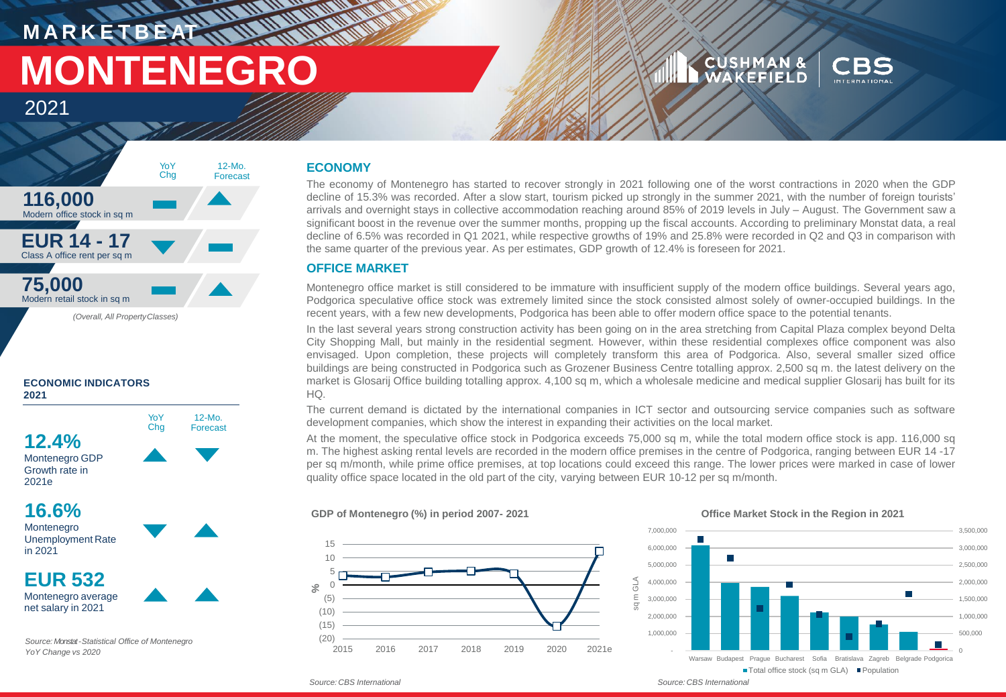# **MANARITANIA MARKETBEATING MONTENEGRO**

### **CUSHMAN & WAKEFIELD**



## 2021



YoY **Chg** 

12-Mo. Forecast

#### **ECONOMIC INDICATORS 2021**

**12.4%** Montenegro GDP

Growth rate in 2021e

### **16.6%**

Montenegro Unemployment Rate in 2021

**EUR 532** Montenegro average net salary in 2021

*Source: Monstat-Statistical Office of Montenegro YoY Change vs 2020*

#### **ECONOMY**

 $M$  W  $_{\rm m}$ 

The economy of Montenegro has started to recover strongly in 2021 following one of the worst contractions in 2020 when the GDP decline of 15.3% was recorded. After a slow start, tourism picked up strongly in the summer 2021, with the number of foreign tourists' arrivals and overnight stays in collective accommodation reaching around 85% of 2019 levels in July – August. The Government saw a significant boost in the revenue over the summer months, propping up the fiscal accounts. According to preliminary Monstat data, a real decline of 6.5% was recorded in Q1 2021, while respective growths of 19% and 25.8% were recorded in Q2 and Q3 in comparison with the same quarter of the previous year. As per estimates, GDP growth of 12.4% is foreseen for 2021.

#### **OFFICE MARKET**

Montenegro office market is still considered to be immature with insufficient supply of the modern office buildings. Several years ago, Podgorica speculative office stock was extremely limited since the stock consisted almost solely of owner-occupied buildings. In the recent years, with a few new developments, Podgorica has been able to offer modern office space to the potential tenants.

In the last several years strong construction activity has been going on in the area stretching from Capital Plaza complex beyond Delta City Shopping Mall, but mainly in the residential segment. However, within these residential complexes office component was also envisaged. Upon completion, these projects will completely transform this area of Podgorica. Also, several smaller sized office buildings are being constructed in Podgorica such as Grozener Business Centre totalling approx. 2,500 sq m. the latest delivery on the market is Glosarij Office building totalling approx. 4,100 sq m, which a wholesale medicine and medical supplier Glosarij has built for its HQ.

The current demand is dictated by the international companies in ICT sector and outsourcing service companies such as software development companies, which show the interest in expanding their activities on the local market.

At the moment, the speculative office stock in Podgorica exceeds 75,000 sq m, while the total modern office stock is app. 116,000 sq m. The highest asking rental levels are recorded in the modern office premises in the centre of Podgorica, ranging between EUR 14 -17 per sq m/month, while prime office premises, at top locations could exceed this range. The lower prices were marked in case of lower quality office space located in the old part of the city, varying between EUR 10-12 per sq m/month.

#### **GDP of Montenegro (%) in period 2007- 2021**



#### **Office Market Stock in the Region in 2021**



*Source: CBS International* 

*Source: CBS International*